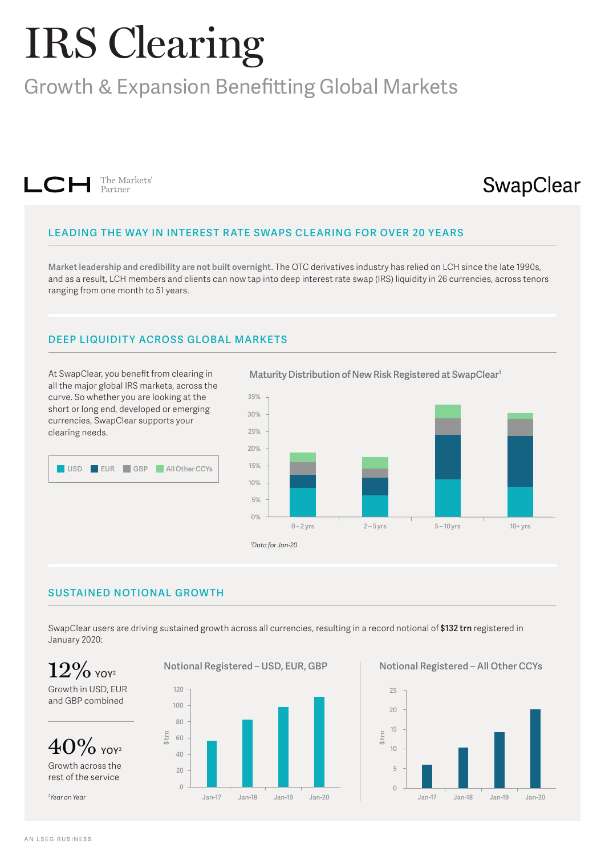# IRS Clearing

## Growth & Expansion Benefitting Global Markets



## SwapClear

#### **LEADING THE WAY IN INTEREST R ATE SWAPS CLEARING FOR OVER 20 YEARS**

**Market leadership and credibility are not built overnight.** The OTC derivatives industry has relied on LCH since the late 1990s, and as a result, LCH members and clients can now tap into deep interest rate swap (IRS) liquidity in 26 currencies, across tenors ranging from one month to 51 years.

### **DEEP LIQUIDITY ACROSS GLOBAL MARKETS**

At SwapClear, you benefit from clearing in all the major global IRS markets, across the curve. So whether you are looking at the short or long end, developed or emerging currencies, SwapClear supports your clearing needs.



**Maturity Distribution of New Risk Registered at SwapClear1**



#### **SUSTAINED NOTIONAL GROWTH**

SwapClear users are driving sustained growth across all currencies, resulting in a record notional of **\$132 trn** registered in January 2020:

Growth in USD, EUR and GBP combined



Growth across the rest of the service

*2 Year on Year*





 $12\%$  YOY<sup>2</sup> Notional Registered – USD, EUR, GBP Notional Registered – All Other CCYs